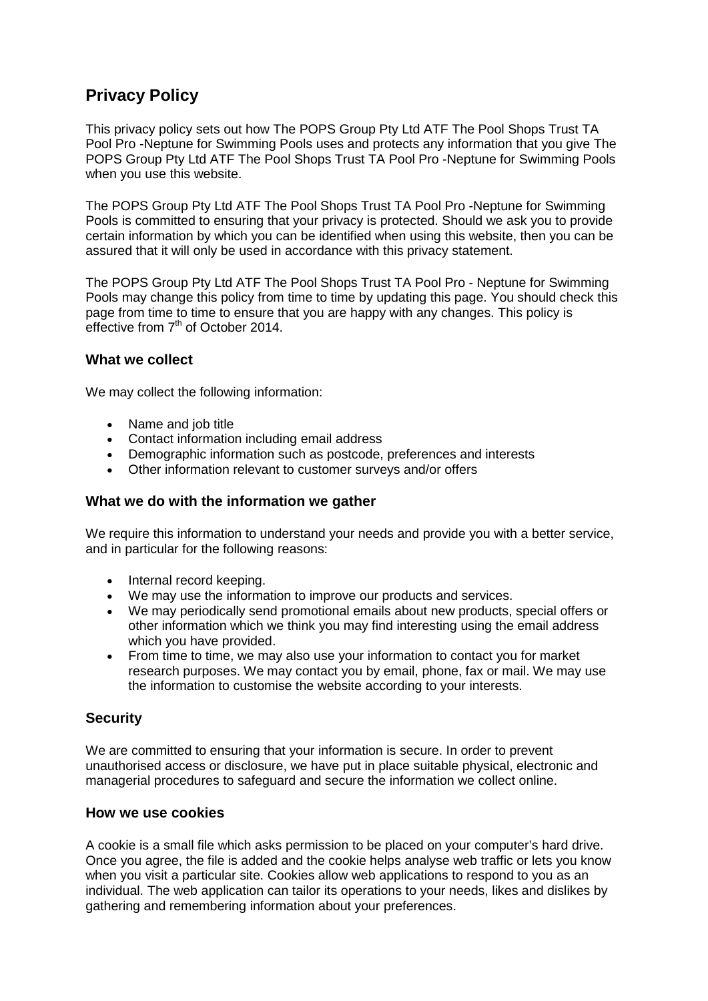# **Privacy Policy**

This privacy policy sets out how The POPS Group Pty Ltd ATF The Pool Shops Trust TA Pool Pro -Neptune for Swimming Pools uses and protects any information that you give The POPS Group Pty Ltd ATF The Pool Shops Trust TA Pool Pro -Neptune for Swimming Pools when you use this website.

The POPS Group Pty Ltd ATF The Pool Shops Trust TA Pool Pro -Neptune for Swimming Pools is committed to ensuring that your privacy is protected. Should we ask you to provide certain information by which you can be identified when using this website, then you can be assured that it will only be used in accordance with this privacy statement.

The POPS Group Pty Ltd ATF The Pool Shops Trust TA Pool Pro - Neptune for Swimming Pools may change this policy from time to time by updating this page. You should check this page from time to time to ensure that you are happy with any changes. This policy is effective from 7<sup>th</sup> of October 2014.

### **What we collect**

We may collect the following information:

- Name and job title
- Contact information including email address
- Demographic information such as postcode, preferences and interests
- Other information relevant to customer surveys and/or offers

## **What we do with the information we gather**

We require this information to understand your needs and provide you with a better service, and in particular for the following reasons:

- Internal record keeping.
- We may use the information to improve our products and services.
- We may periodically send promotional emails about new products, special offers or other information which we think you may find interesting using the email address which you have provided.
- From time to time, we may also use your information to contact you for market research purposes. We may contact you by email, phone, fax or mail. We may use the information to customise the website according to your interests.

# **Security**

We are committed to ensuring that your information is secure. In order to prevent unauthorised access or disclosure, we have put in place suitable physical, electronic and managerial procedures to safeguard and secure the information we collect online.

#### **How we use cookies**

A cookie is a small file which asks permission to be placed on your computer's hard drive. Once you agree, the file is added and the cookie helps analyse web traffic or lets you know when you visit a particular site. Cookies allow web applications to respond to you as an individual. The web application can tailor its operations to your needs, likes and dislikes by gathering and remembering information about your preferences.